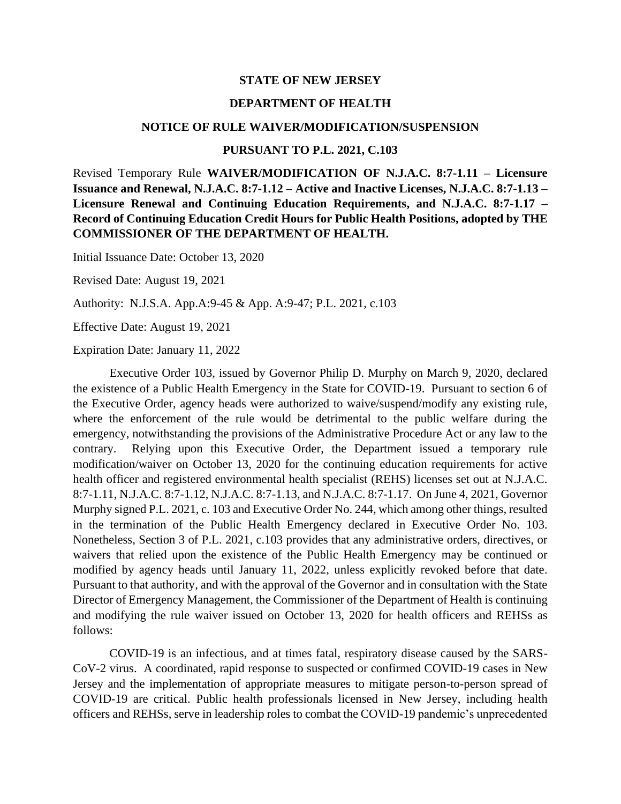## **STATE OF NEW JERSEY**

## **DEPARTMENT OF HEALTH**

#### **NOTICE OF RULE WAIVER/MODIFICATION/SUSPENSION**

## **PURSUANT TO P.L. 2021, C.103**

Revised Temporary Rule **WAIVER/MODIFICATION OF N.J.A.C. 8:7-1.11 – Licensure Issuance and Renewal, N.J.A.C. 8:7-1.12 – Active and Inactive Licenses, N.J.A.C. 8:7-1.13 – Licensure Renewal and Continuing Education Requirements, and N.J.A.C. 8:7-1.17 – Record of Continuing Education Credit Hours for Public Health Positions, adopted by THE COMMISSIONER OF THE DEPARTMENT OF HEALTH.**

Initial Issuance Date: October 13, 2020

Revised Date: August 19, 2021

Authority: N.J.S.A. App.A:9-45 & App. A:9-47; P.L. 2021, c.103

Effective Date: August 19, 2021

Expiration Date: January 11, 2022

Executive Order 103, issued by Governor Philip D. Murphy on March 9, 2020, declared the existence of a Public Health Emergency in the State for COVID-19. Pursuant to section 6 of the Executive Order, agency heads were authorized to waive/suspend/modify any existing rule, where the enforcement of the rule would be detrimental to the public welfare during the emergency, notwithstanding the provisions of the Administrative Procedure Act or any law to the contrary. Relying upon this Executive Order, the Department issued a temporary rule modification/waiver on October 13, 2020 for the continuing education requirements for active health officer and registered environmental health specialist (REHS) licenses set out at N.J.A.C. 8:7-1.11, N.J.A.C. 8:7-1.12, N.J.A.C. 8:7-1.13, and N.J.A.C. 8:7-1.17. On June 4, 2021, Governor Murphy signed P.L. 2021, c. 103 and Executive Order No. 244, which among other things, resulted in the termination of the Public Health Emergency declared in Executive Order No. 103. Nonetheless, Section 3 of P.L. 2021, c.103 provides that any administrative orders, directives, or waivers that relied upon the existence of the Public Health Emergency may be continued or modified by agency heads until January 11, 2022, unless explicitly revoked before that date. Pursuant to that authority, and with the approval of the Governor and in consultation with the State Director of Emergency Management, the Commissioner of the Department of Health is continuing and modifying the rule waiver issued on October 13, 2020 for health officers and REHSs as follows:

COVID-19 is an infectious, and at times fatal, respiratory disease caused by the SARS-CoV-2 virus. A coordinated, rapid response to suspected or confirmed COVID-19 cases in New Jersey and the implementation of appropriate measures to mitigate person-to-person spread of COVID-19 are critical. Public health professionals licensed in New Jersey, including health officers and REHSs, serve in leadership roles to combat the COVID-19 pandemic's unprecedented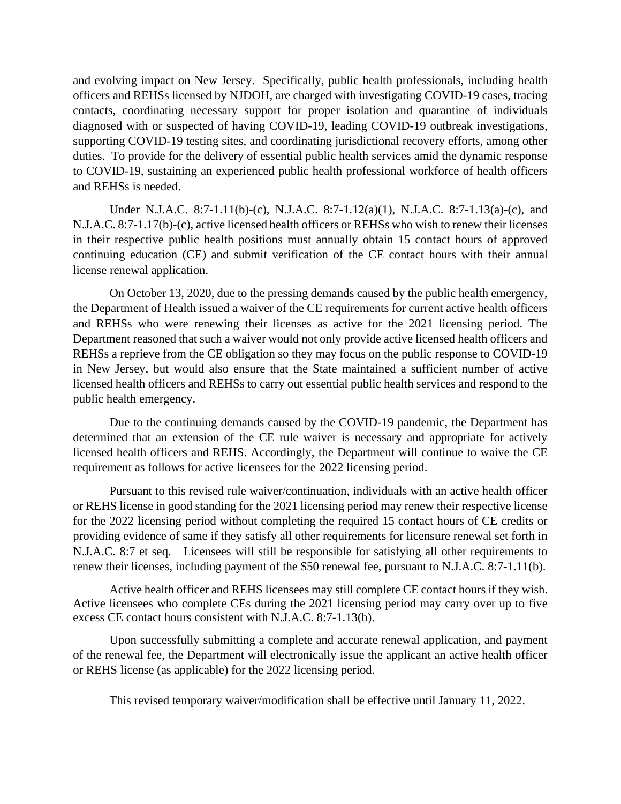and evolving impact on New Jersey. Specifically, public health professionals, including health officers and REHSs licensed by NJDOH, are charged with investigating COVID-19 cases, tracing contacts, coordinating necessary support for proper isolation and quarantine of individuals diagnosed with or suspected of having COVID-19, leading COVID-19 outbreak investigations, supporting COVID-19 testing sites, and coordinating jurisdictional recovery efforts, among other duties. To provide for the delivery of essential public health services amid the dynamic response to COVID-19, sustaining an experienced public health professional workforce of health officers and REHSs is needed.

Under N.J.A.C. 8:7-1.11(b)-(c), N.J.A.C. 8:7-1.12(a)(1), N.J.A.C. 8:7-1.13(a)-(c), and N.J.A.C. 8:7-1.17(b)-(c), active licensed health officers or REHSs who wish to renew their licenses in their respective public health positions must annually obtain 15 contact hours of approved continuing education (CE) and submit verification of the CE contact hours with their annual license renewal application.

On October 13, 2020, due to the pressing demands caused by the public health emergency, the Department of Health issued a waiver of the CE requirements for current active health officers and REHSs who were renewing their licenses as active for the 2021 licensing period. The Department reasoned that such a waiver would not only provide active licensed health officers and REHSs a reprieve from the CE obligation so they may focus on the public response to COVID-19 in New Jersey, but would also ensure that the State maintained a sufficient number of active licensed health officers and REHSs to carry out essential public health services and respond to the public health emergency.

Due to the continuing demands caused by the COVID-19 pandemic, the Department has determined that an extension of the CE rule waiver is necessary and appropriate for actively licensed health officers and REHS. Accordingly, the Department will continue to waive the CE requirement as follows for active licensees for the 2022 licensing period.

Pursuant to this revised rule waiver/continuation, individuals with an active health officer or REHS license in good standing for the 2021 licensing period may renew their respective license for the 2022 licensing period without completing the required 15 contact hours of CE credits or providing evidence of same if they satisfy all other requirements for licensure renewal set forth in N.J.A.C. 8:7 et seq. Licensees will still be responsible for satisfying all other requirements to renew their licenses, including payment of the \$50 renewal fee, pursuant to N.J.A.C. 8:7-1.11(b).

Active health officer and REHS licensees may still complete CE contact hours if they wish. Active licensees who complete CEs during the 2021 licensing period may carry over up to five excess CE contact hours consistent with N.J.A.C. 8:7-1.13(b).

Upon successfully submitting a complete and accurate renewal application, and payment of the renewal fee, the Department will electronically issue the applicant an active health officer or REHS license (as applicable) for the 2022 licensing period.

This revised temporary waiver/modification shall be effective until January 11, 2022.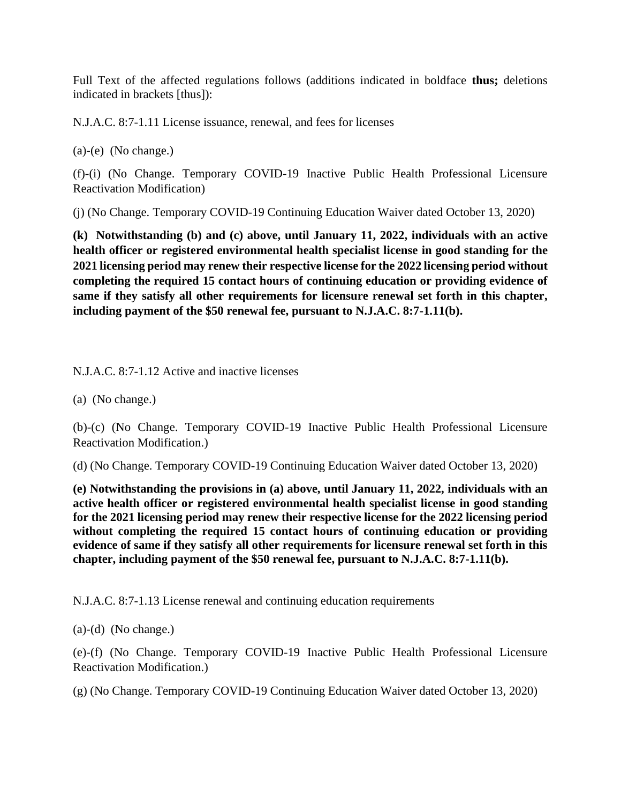Full Text of the affected regulations follows (additions indicated in boldface **thus;** deletions indicated in brackets [thus]):

N.J.A.C. 8:7-1.11 License issuance, renewal, and fees for licenses

(a)-(e) (No change.)

(f)-(i) (No Change. Temporary COVID-19 Inactive Public Health Professional Licensure Reactivation Modification)

(j) (No Change. Temporary COVID-19 Continuing Education Waiver dated October 13, 2020)

**(k) Notwithstanding (b) and (c) above, until January 11, 2022, individuals with an active health officer or registered environmental health specialist license in good standing for the 2021 licensing period may renew their respective license for the 2022 licensing period without completing the required 15 contact hours of continuing education or providing evidence of same if they satisfy all other requirements for licensure renewal set forth in this chapter, including payment of the \$50 renewal fee, pursuant to N.J.A.C. 8:7-1.11(b).**

N.J.A.C. 8:7-1.12 Active and inactive licenses

(a) (No change.)

(b)-(c) (No Change. Temporary COVID-19 Inactive Public Health Professional Licensure Reactivation Modification.)

(d) (No Change. Temporary COVID-19 Continuing Education Waiver dated October 13, 2020)

**(e) Notwithstanding the provisions in (a) above, until January 11, 2022, individuals with an active health officer or registered environmental health specialist license in good standing for the 2021 licensing period may renew their respective license for the 2022 licensing period without completing the required 15 contact hours of continuing education or providing evidence of same if they satisfy all other requirements for licensure renewal set forth in this chapter, including payment of the \$50 renewal fee, pursuant to N.J.A.C. 8:7-1.11(b).**

N.J.A.C. 8:7-1.13 License renewal and continuing education requirements

(a)-(d) (No change.)

(e)-(f) (No Change. Temporary COVID-19 Inactive Public Health Professional Licensure Reactivation Modification.)

(g) (No Change. Temporary COVID-19 Continuing Education Waiver dated October 13, 2020)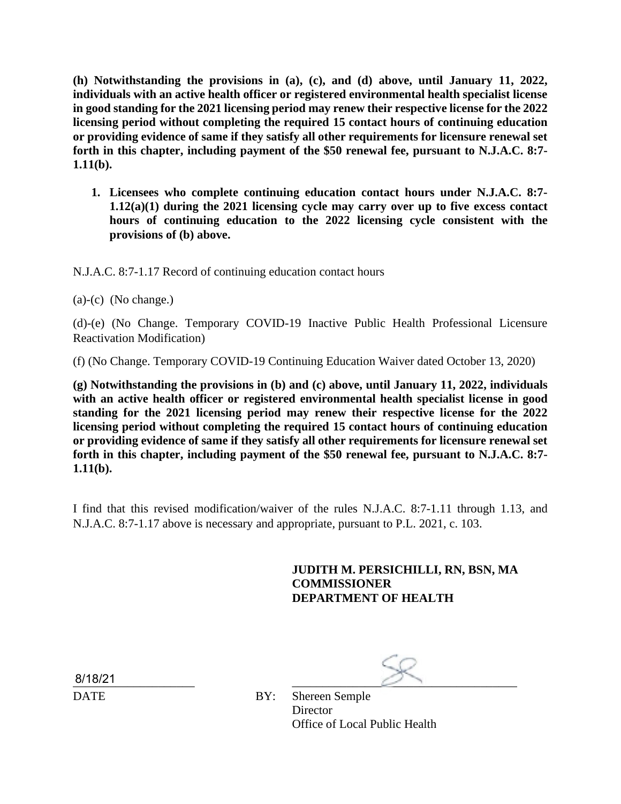**(h) Notwithstanding the provisions in (a), (c), and (d) above, until January 11, 2022, individuals with an active health officer or registered environmental health specialist license in good standing for the 2021 licensing period may renew their respective license for the 2022 licensing period without completing the required 15 contact hours of continuing education or providing evidence of same if they satisfy all other requirements for licensure renewal set forth in this chapter, including payment of the \$50 renewal fee, pursuant to N.J.A.C. 8:7- 1.11(b).**

**1. Licensees who complete continuing education contact hours under N.J.A.C. 8:7- 1.12(a)(1) during the 2021 licensing cycle may carry over up to five excess contact hours of continuing education to the 2022 licensing cycle consistent with the provisions of (b) above.**

N.J.A.C. 8:7-1.17 Record of continuing education contact hours

(a)-(c) (No change.)

(d)-(e) (No Change. Temporary COVID-19 Inactive Public Health Professional Licensure Reactivation Modification)

(f) (No Change. Temporary COVID-19 Continuing Education Waiver dated October 13, 2020)

**(g) Notwithstanding the provisions in (b) and (c) above, until January 11, 2022, individuals with an active health officer or registered environmental health specialist license in good standing for the 2021 licensing period may renew their respective license for the 2022 licensing period without completing the required 15 contact hours of continuing education or providing evidence of same if they satisfy all other requirements for licensure renewal set forth in this chapter, including payment of the \$50 renewal fee, pursuant to N.J.A.C. 8:7- 1.11(b).**

I find that this revised modification/waiver of the rules N.J.A.C. 8:7-1.11 through 1.13, and N.J.A.C. 8:7-1.17 above is necessary and appropriate, pursuant to P.L. 2021, c. 103.

# **JUDITH M. PERSICHILLI, RN, BSN, MA COMMISSIONER DEPARTMENT OF HEALTH**

 $\frac{8/18/21}{2}$ 

DATE BY: Shereen Semple Director Office of Local Public Health

8/18/21